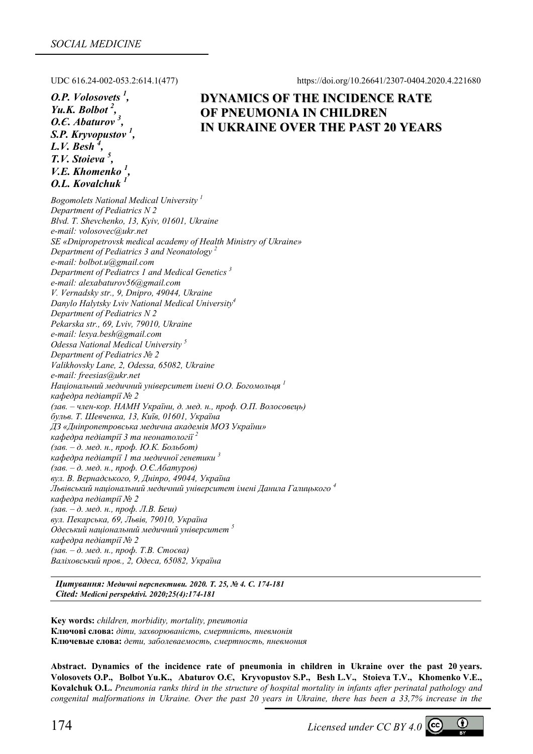UDC 616.24-002-053.2:614.1(477) https://doi.org/10.26641/2307-0404.2020.4.221680

*O.P. Volosovets 1 , Yu.K. Bolbot 2 , O.Є. Abaturov <sup>3</sup> , S.P. Kryvopustov <sup>1</sup> , L.V. Besh 4 , T.V. Stoieva 5 , V.Е. Khomenko 1 , O.L. Kovalchuk 1*

# **DYNAMICS OF THE INCIDENCE RATE OF PNEUMONIA IN CHILDREN IN UKRAINE OVER THE PAST 20 YEARS**

*Bogomolets National Medical University 1 Department of Pediatrics N 2 Blvd. T. Shevchenko, 13, Kyiv, 01601, Ukraine e-mail: volosovec@ukr.net SE «Dnipropetrovsk medical academy of Health Ministry of Ukraine» Department of Pediatrics 3 and Neonatology 2 e-mail: bolbot.u@gmail.com Department of Pediatrcs 1 and Medical Genetics 3 e-mail: alexabaturov56@gmail.com V. Vernadsky str., 9, Dnipro, 49044, Ukraine Danylo Halytsky Lviv National Medical University4 Department of Pediatrics N 2 Pekarska str., 69, Lviv, 79010, Ukraine e-mail: lesya.besh@gmail.com Odessa National Medical University 5 Department of Pediatrics № 2 Valikhovsky Lane, 2, Odessa, 65082, Ukraine e-mail: freesias@ukr.net Національний медичний університет імені О.О. Богомольця <sup>1</sup> кафедра педіатрії № 2*  (зав. - член-кор. НАМН України, д. мед. н., проф. О.П. Волосовець) *бульв. Т. Шевченка, 13, Київ, 01601, Україна ДЗ «Дніпропетровська медична академія МОЗ України» кафедра педіатрії 3 та неонатології <sup>2</sup> (зав. – д. мед. н., проф. Ю.К. Больбот) кафедра педіатрії 1 та медичної генетики <sup>3</sup> (зав. – д. мед. н., проф. О.Є.Абатуров) вул. В. Вернадського, 9, Дніпро, 49044, Україна Львівський національний медичний університет імені Данила Галицького <sup>4</sup> кафедра педіатрії № 2 (зав. – д. мед. н., проф. Л.В. Беш) вул. Пекарська, 69, Львів, 79010, Україна Одеський національний медичний університет <sup>5</sup> кафедра педіатрії № 2 (зав. – д. мед. н., проф. Т.В. Стоєва) Валіховський пров., 2, Одеса, 65082, Україна*

*Цитування: Медичні перспективи. 2020. Т. 25, № 4. С. 174-181 Cited: Medicni perspektivi. 2020;25(4):174-181*

**Key words:** *children, morbidity, mortality, pneumonia*  **Ключові слова:** *діти, захворюваність, смертність, пневмонія* **Ключевые слова:** *дети, заболеваемость, смертность, пневмония*

**Abstract. Dynamics of the incidence rate of pneumonia in children in Ukraine over the past 20 years. Volosovets O.P., Bolbot Yu.K., Abaturov O.Є, Kryvopustov S.P., Besh L.V., Stoieva T.V., Khomenko V.Е., Kovalchuk O.L.** *Pneumonia ranks third in the structure of hospital mortality in infants after perinatal pathology and congenital malformations in Ukraine. Over the past 20 years in Ukraine, there has been a 33,7% increase in the* 

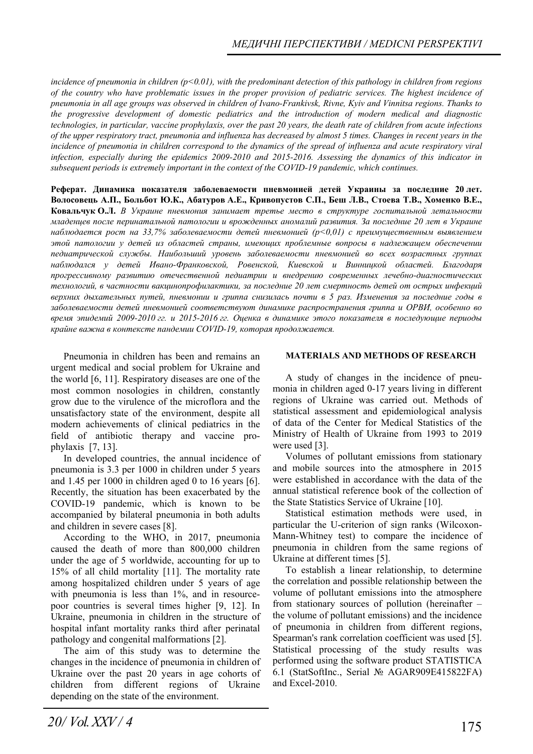*incidence of pneumonia in children (p˂0.01), with the predominant detection of this pathology in children from regions of the country who have problematic issues in the proper provision of pediatric services. The highest incidence of pneumonia in all age groups was observed in children of Ivano-Frankivsk, Rivne, Kyiv and Vinnitsa regions. Thanks to the progressive development of domestic pediatrics and the introduction of modern medical and diagnostic technologies, in particular, vaccine prophylaxis, over the past 20 years, the death rate of children from acute infections of the upper respiratory tract, pneumonia and influenza has decreased by almost 5 times. Changes in recent years in the incidence of pneumonia in children correspond to the dynamics of the spread of influenza and acute respiratory viral infection, especially during the epidemics 2009-2010 and 2015-2016. Assessing the dynamics of this indicator in subsequent periods is extremely important in the context of the COVID-19 pandemic, which continues.* 

Реферат. Динамика показателя заболеваемости пневмонией детей Украины за последние 20 лет. **Волосовець А.П., Больбот Ю.К., Абатуров А.Е., Кривопустов С.П., Беш Л.В., Стоева Т.В., Хоменко В.Е., Ковальчук О.Л.** *В Украине пневмония занимает третье место в структуре госпитальной летальности младенцев после перинатальной патологии и врожденных аномалий развития. За последние 20 лет в Украине наблюдается рост на 33,7% заболеваемости детей пневмонией (р˂0,01) с преимущественным выявлением этой патологии у детей из областей страны, имеющих проблемные вопросы в надлежащем обеспечении педиатрической службы. Наибольший уровень заболеваемости пневмонией во всех возрастных группах наблюдался у детей Ивано-Франковской, Ровенской, Киевской и Винницкой областей. Благодаря прогрессивному развитию отечественной педиатрии и внедрению современных лечебно-диагностических технологий, в частности вакцинопрофилактики, за последние 20 лет смертность детей от острых инфекций* верхних дыхательных путей, пневмонии и гриппа снизилась почти в 5 раз. Изменения за последние годы в *заболеваемости детей пневмонией соответствуют динамике распространения гриппа и ОРВИ, особенно во время эпидемий 2009-2010 гг. и 2015-2016 гг. Оценка в динамике этого показателя в последующие периоды крайне важна в контексте пандемии COVID-19, которая продолжается.* 

Pneumonia in children has been and remains an urgent medical and social problem for Ukraine and the world [6, 11]. Respiratory diseases are one of the most common nosologies in children, constantly grow due to the virulence of the microflora and the unsatisfactory state of the environment, despite all modern achievements of clinical pediatrics in the field of antibiotic therapy and vaccine prophylaxis [7, 13].

In developed countries, the annual incidence of pneumonia is 3.3 per 1000 in children under 5 years and 1.45 per 1000 in children aged 0 to 16 years [6]. Recently, the situation has been exacerbated by the COVID-19 pandemic, which is known to be accompanied by bilateral pneumonia in both adults and children in severe cases [8].

According to the WHO, in 2017, pneumonia caused the death of more than 800,000 children under the age of 5 worldwide, accounting for up to 15% of all child mortality [11]. The mortality rate among hospitalized children under 5 years of age with pneumonia is less than 1%, and in resourcepoor countries is several times higher [9, 12]. In Ukraine, pneumonia in children in the structure of hospital infant mortality ranks third after perinatal pathology and congenital malformations [2].

The aim of this study was to determine the changes in the incidence of pneumonia in children of Ukraine over the past 20 years in age cohorts of children from different regions of Ukraine depending on the state of the environment.

## **MATERIALS AND METHODS OF RESEARCH**

A study of changes in the incidence of pneumonia in children aged 0-17 years living in different regions of Ukraine was carried out. Methods of statistical assessment and epidemiological analysis of data of the Center for Medical Statistics of the Ministry of Health of Ukraine from 1993 to 2019 were used [3].

Volumes of pollutant emissions from stationary and mobile sources into the atmosphere in 2015 were established in accordance with the data of the annual statistical reference book of the collection of the State Statistics Service of Ukraine [10].

Statistical estimation methods were used, in particular the U-criterion of sign ranks (Wilcoxon-Mann-Whitney test) to compare the incidence of pneumonia in children from the same regions of Ukraine at different times [5].

To establish a linear relationship, to determine the correlation and possible relationship between the volume of pollutant emissions into the atmosphere from stationary sources of pollution (hereinafter – the volume of pollutant emissions) and the incidence of pneumonia in children from different regions, Spearman's rank correlation coefficient was used [5]. Statistical processing of the study results was performed using the software product STATISTICA 6.1 (StatSoftInc., Serial № AGAR909E415822FA) and Excel-2010.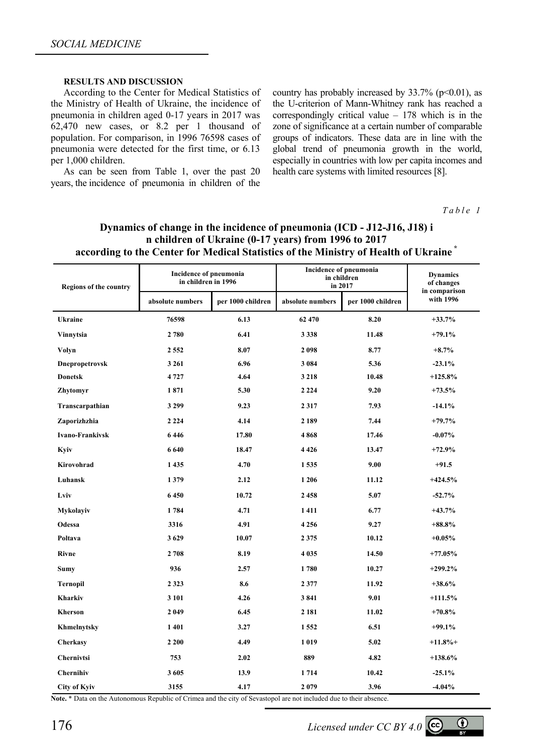### **RESULTS AND DISCUSSION**

According to the Center for Medical Statistics of the Ministry of Health of Ukraine, the incidence of pneumonia in children aged 0-17 years in 2017 was 62,470 new cases, or 8.2 per 1 thousand of population. For comparison, in 1996 76598 cases of pneumonia were detected for the first time, or 6.13 per 1,000 children.

As can be seen from Table 1, over the past 20 years, the incidence of pneumonia in children of the country has probably increased by  $33.7\%$  (p $\leq 0.01$ ), as the U-criterion of Mann-Whitney rank has reached a correspondingly critical value – 178 which is in the zone of significance at a certain number of comparable groups of indicators. These data are in line with the global trend of pneumonia growth in the world, especially in countries with low per capita incomes and health care systems with limited resources [8].

*Table 1* 

| <b>Regions of the country</b> | <b>Incidence of pneumonia</b><br>in children in 1996 |                   | Incidence of pneumonia<br>in children<br>in 2017 |                   | <b>Dynamics</b><br>of changes<br>in comparison |
|-------------------------------|------------------------------------------------------|-------------------|--------------------------------------------------|-------------------|------------------------------------------------|
|                               | absolute numbers                                     | per 1000 children | absolute numbers                                 | per 1000 children | with 1996                                      |
| <b>Ukraine</b>                | 76598                                                | 6.13              | 62 470                                           | 8.20              | $+33.7%$                                       |
| Vinnytsia                     | 2 780                                                | 6.41              | 3 3 3 8                                          | 11.48             | $+79.1%$                                       |
| Volyn                         | 2 5 5 2                                              | 8.07              | 2098                                             | 8.77              | $+8.7%$                                        |
| Dnepropetrovsk                | 3 2 6 1                                              | 6.96              | 3 0 8 4                                          | 5.36              | $-23.1%$                                       |
| <b>Donetsk</b>                | 4 7 2 7                                              | 4.64              | 3 2 1 8                                          | 10.48             | $+125.8%$                                      |
| Zhytomyr                      | 1871                                                 | 5.30              | 2 2 2 4                                          | 9.20              | $+73.5%$                                       |
| Transcarpathian               | 3 2 9 9                                              | 9.23              | 2317                                             | 7.93              | $-14.1%$                                       |
| Zaporizhzhia                  | 2 2 2 4                                              | 4.14              | 2 1 8 9                                          | 7.44              | $+79.7%$                                       |
| <b>Ivano-Frankivsk</b>        | 6446                                                 | 17.80             | 4868                                             | 17.46             | $-0.07\%$                                      |
| Kyiv                          | 6640                                                 | 18.47             | 4426                                             | 13.47             | $+72.9%$                                       |
| Kirovohrad                    | 1 4 3 5                                              | 4.70              | 1535                                             | 9.00              | $+91.5$                                        |
| Luhansk                       | 1379                                                 | 2.12              | 1 2 0 6                                          | 11.12             | $+424.5%$                                      |
| Lviv                          | 6450                                                 | 10.72             | 2458                                             | 5.07              | $-52.7%$                                       |
| <b>Mykolayiv</b>              | 1784                                                 | 4.71              | 1411                                             | 6.77              | $+43.7%$                                       |
| Odessa                        | 3316                                                 | 4.91              | 4 2 5 6                                          | 9.27              | $+88.8\%$                                      |
| Poltava                       | 3629                                                 | 10.07             | 2 3 7 5                                          | 10.12             | $+0.05%$                                       |
| Rivne                         | 2 708                                                | 8.19              | 4 0 3 5                                          | 14.50             | $+77.05%$                                      |
| <b>Sumy</b>                   | 936                                                  | 2.57              | 1780                                             | 10.27             | $+299.2%$                                      |
| <b>Ternopil</b>               | 2 3 2 3                                              | 8.6               | 2377                                             | 11.92             | $+38.6%$                                       |
| <b>Kharkiv</b>                | 3 1 0 1                                              | 4.26              | 3841                                             | 9.01              | $+111.5%$                                      |
| Kherson                       | 2 0 4 9                                              | 6.45              | 2 1 8 1                                          | 11.02             | $+70.8\%$                                      |
| Khmelnytsky                   | 1 4 0 1                                              | 3.27              | 1 5 5 2                                          | 6.51              | $+99.1%$                                       |
| Cherkasy                      | 2 2 0 0                                              | 4.49              | 1019                                             | 5.02              | $+11.8%$                                       |
| Chernivtsi                    | 753                                                  | 2.02              | 889                                              | 4.82              | $+138.6%$                                      |
| <b>Chernihiv</b>              | 3605                                                 | 13.9              | 1714                                             | 10.42             | $-25.1%$                                       |
| <b>City of Kyiv</b>           | 3155                                                 | 4.17              | 2079                                             | 3.96              | $-4.04%$                                       |

## **Dynamics of change in the incidence of pneumonia (ICD - J12-J16, J18) i n children of Ukraine (0-17 years) from 1996 to 2017 according to the Center for Medical Statistics of the Ministry of Health of Ukraine \***

**Note.** \* Data on the Autonomous Republic of Crimea and the city of Sevastopol are not included due to their absence.

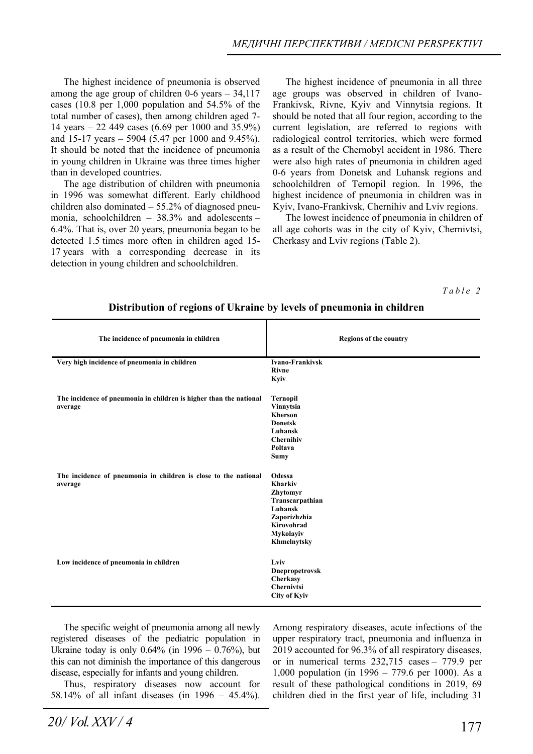The highest incidence of pneumonia is observed among the age group of children  $0\n-6$  years  $-34,117$ cases (10.8 per 1,000 population and 54.5% of the total number of cases), then among children aged 7- 14 years – 22 449 cases (6.69 per 1000 and 35.9%) and 15-17 years – 5904 (5.47 per 1000 and 9.45%). It should be noted that the incidence of pneumonia in young children in Ukraine was three times higher than in developed countries.

The age distribution of children with pneumonia in 1996 was somewhat different. Early childhood children also dominated – 55.2% of diagnosed pneumonia, schoolchildren – 38.3% and adolescents – 6.4%. That is, over 20 years, pneumonia began to be detected 1.5 times more often in children aged 15- 17 years with a corresponding decrease in its detection in young children and schoolchildren.

The highest incidence of pneumonia in all three age groups was observed in children of Ivano-Frankivsk, Rivne, Kyiv and Vinnytsia regions. It should be noted that all four region, according to the current legislation, are referred to regions with radiological control territories, which were formed as a result of the Chernobyl accident in 1986. There were also high rates of pneumonia in children aged 0-6 years from Donetsk and Luhansk regions and schoolchildren of Ternopil region. In 1996, the highest incidence of pneumonia in children was in Kyiv, Ivano-Frankivsk, Chernihiv and Lviv regions.

The lowest incidence of pneumonia in children of all age cohorts was in the city of Kyiv, Chernivtsi, Cherkasy and Lviv regions (Table 2).

*Table 2* 

| The incidence of pneumonia in children                                        | <b>Regions of the country</b>                                                                                         |
|-------------------------------------------------------------------------------|-----------------------------------------------------------------------------------------------------------------------|
| Very high incidence of pneumonia in children                                  | <b>Ivano-Frankivsk</b><br><b>Rivne</b><br>Kyiv                                                                        |
| The incidence of pneumonia in children is higher than the national<br>average | <b>Ternopil</b><br>Vinnytsia<br><b>Kherson</b><br><b>Donetsk</b><br>Luhansk<br>Chernihiv<br>Poltava<br><b>Sumy</b>    |
| The incidence of pneumonia in children is close to the national<br>average    | Odessa<br>Kharkiv<br>Zhytomyr<br>Transcarpathian<br>Luhansk<br>Zaporizhzhia<br>Kirovohrad<br>Mykolayiv<br>Khmelnytsky |
| Low incidence of pneumonia in children                                        | Lviv<br>Dnepropetrovsk<br>Cherkasy<br>Chernivtsi<br><b>City of Kyiv</b>                                               |

# **Distribution of regions of Ukraine by levels of pneumonia in children**

The specific weight of pneumonia among all newly registered diseases of the pediatric population in Ukraine today is only  $0.64\%$  (in  $1996 - 0.76\%$ ), but this can not diminish the importance of this dangerous disease, especially for infants and young children.

Thus, respiratory diseases now account for 58.14% of all infant diseases (in 1996 – 45.4%). Among respiratory diseases, acute infections of the upper respiratory tract, pneumonia and influenza in 2019 accounted for 96.3% of all respiratory diseases, or in numerical terms 232,715 cases – 779.9 per 1,000 population (in 1996 – 779.6 per 1000). As a result of these pathological conditions in 2019, 69 children died in the first year of life, including 31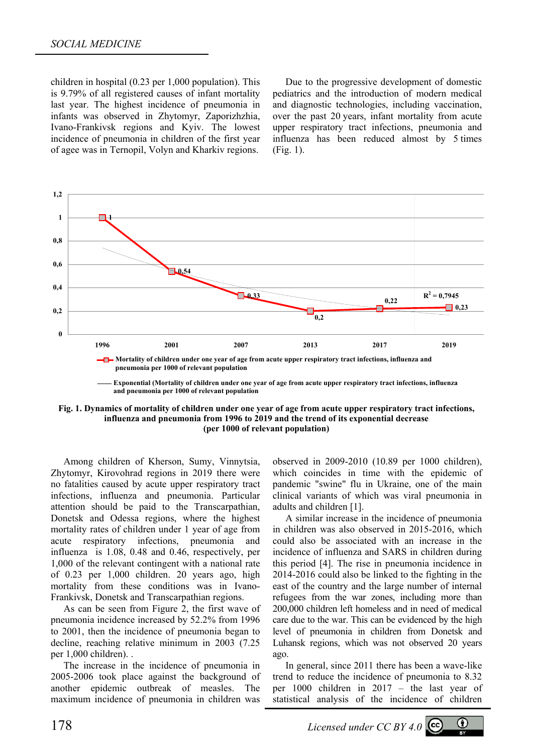children in hospital (0.23 per 1,000 population). This is 9.79% of all registered causes of infant mortality last year. The highest incidence of pneumonia in infants was observed in Zhytomyr, Zaporizhzhia, Ivano-Frankivsk regions and Kyiv. The lowest incidence of pneumonia in children of the first year of agee was in Ternopil, Volyn and Kharkiv regions.

Due to the progressive development of domestic pediatrics and the introduction of modern medical and diagnostic technologies, including vaccination, over the past 20 years, infant mortality from acute upper respiratory tract infections, pneumonia and influenza has been reduced almost by 5 times (Fig. 1).



**Exponential (Mortality of children under one year of age from acute upper respiratory tract infections, influenza шляхів, грипу та пневмоній на 1000 відп. населення) and pneumonia per 1000 of relevant population**

**Fig. 1. Dynamics of mortality of children under one year of age from acute upper respiratory tract infections, influenza and pneumonia from 1996 to 2019 and the trend of its exponential decrease (per 1000 of relevant population)** 

Among children of Kherson, Sumy, Vinnytsia, Zhytomyr, Kirovohrad regions in 2019 there were no fatalities caused by acute upper respiratory tract infections, influenza and pneumonia. Particular attention should be paid to the Transcarpathian, Donetsk and Odessa regions, where the highest mortality rates of children under 1 year of age from acute respiratory infections, pneumonia and influenza is 1.08, 0.48 and 0.46, respectively, per 1,000 of the relevant contingent with a national rate of 0.23 per 1,000 children. 20 years ago, high mortality from these conditions was in Ivano-Frankivsk, Donetsk and Transcarpathian regions.

As can be seen from Figure 2, the first wave of pneumonia incidence increased by 52.2% from 1996 to 2001, then the incidence of pneumonia began to decline, reaching relative minimum in 2003 (7.25 per 1,000 children). .

The increase in the incidence of pneumonia in 2005-2006 took place against the background of another epidemic outbreak of measles. The maximum incidence of pneumonia in children was observed in 2009-2010 (10.89 per 1000 children), which coincides in time with the epidemic of pandemic "swine" flu in Ukraine, one of the main clinical variants of which was viral pneumonia in adults and children [1].

A similar increase in the incidence of pneumonia in children was also observed in 2015-2016, which could also be associated with an increase in the incidence of influenza and SARS in children during this period [4]. The rise in pneumonia incidence in 2014-2016 could also be linked to the fighting in the east of the country and the large number of internal refugees from the war zones, including more than 200,000 children left homeless and in need of medical care due to the war. This can be evidenced by the high level of pneumonia in children from Donetsk and Luhansk regions, which was not observed 20 years ago.

In general, since 2011 there has been a wave-like trend to reduce the incidence of pneumonia to 8.32 per 1000 children in 2017 – the last year of statistical analysis of the incidence of children

178 *Licensed under CC BY 4.0* 

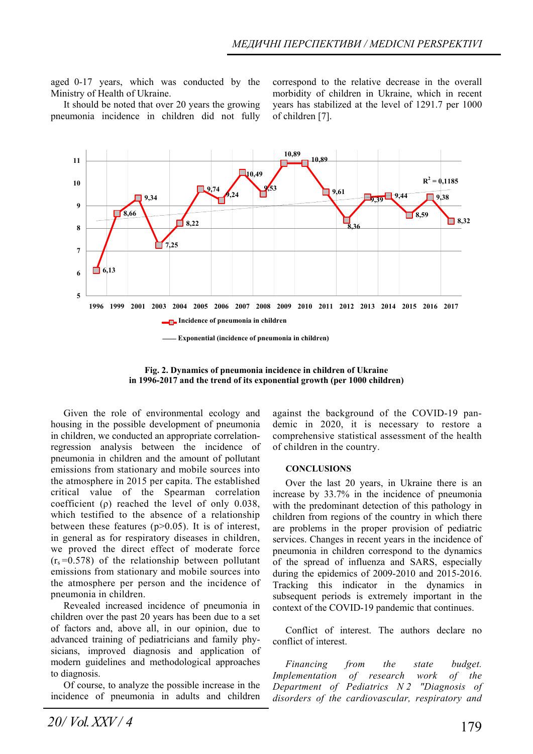aged 0-17 years, which was conducted by the Ministry of Health of Ukraine.

It should be noted that over 20 years the growing pneumonia incidence in children did not fully

correspond to the relative decrease in the overall morbidity of children in Ukraine, which in recent years has stabilized at the level of 1291.7 per 1000 of children [7].



**Fig. 2. Dynamics of pneumonia incidence in children of Ukraine in 1996-2017 and the trend of its exponential growth (per 1000 children)** 

Given the role of environmental ecology and housing in the possible development of pneumonia in children, we conducted an appropriate correlationregression analysis between the incidence of pneumonia in children and the amount of pollutant emissions from stationary and mobile sources into the atmosphere in 2015 per capita. The established critical value of the Spearman correlation coefficient (ρ) reached the level of only 0.038, which testified to the absence of a relationship between these features  $(p>0.05)$ . It is of interest, in general as for respiratory diseases in children, we proved the direct effect of moderate force  $(r_s = 0.578)$  of the relationship between pollutant emissions from stationary and mobile sources into the atmosphere per person and the incidence of pneumonia in children.

Revealed increased incidence of pneumonia in children over the past 20 years has been due to a set of factors and, above all, in our opinion, due to advanced training of pediatricians and family physicians, improved diagnosis and application of modern guidelines and methodological approaches to diagnosis.

Of course, to analyze the possible increase in the incidence of pneumonia in adults and children against the background of the COVID-19 pandemic in 2020, it is necessary to restore a comprehensive statistical assessment of the health of children in the country.

#### **CONCLUSIONS**

Over the last 20 years, in Ukraine there is an increase by 33.7% in the incidence of pneumonia with the predominant detection of this pathology in children from regions of the country in which there are problems in the proper provision of pediatric services. Changes in recent years in the incidence of pneumonia in children correspond to the dynamics of the spread of influenza and SARS, especially during the epidemics of 2009-2010 and 2015-2016. Tracking this indicator in the dynamics in subsequent periods is extremely important in the context of the COVID-19 pandemic that continues.

Conflict of interest. The authors declare no conflict of interest.

*Financing from the state budget. Implementation of research work of the Department of Pediatrics N 2 "Diagnosis of disorders of the cardiovascular, respiratory and*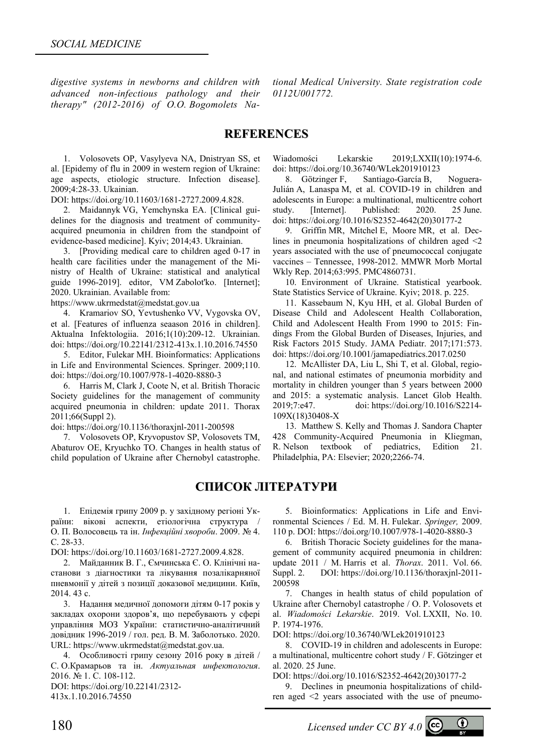*digestive systems in newborns and children with advanced non-infectious pathology and their therapy" (2012-2016) of O.O. Bogomolets Na-* *tional Medical University. State registration code 0112U001772.* 

## **REFERENCES**

1. Volosovets OP, Vasylyeva NA, Dnistryan SS, et al. [Еpidemy of flu in 2009 in western region of Ukraine: age aspects, etiologic structure. Infection disease]. 2009;4:28-33. Ukainian.

DOI: https://doi.org/10.11603/1681-2727.2009.4.828.

2. Maidannyk VG, Yemchynska EA. [Clinical guidelines for the diagnosis and treatment of communityacquired pneumonia in children from the standpoint of evidence-based medicine]. Kyiv; 2014;43. Ukrainian.

3. [Providing medical care to children aged 0-17 in health care facilities under the management of the Ministry of Health of Ukraine: statistical and analytical guide 1996-2019]. editor, VM Zabolot'ko. [Internet]; 2020. Ukrainian. Available from:

https://www.ukrmedstat@medstat.gov.ua

4. Kramariov SO, Yevtushenko VV, Vygovska OV, et al. [Features of influenza seaason 2016 in children] Aktualna Infektologiia. 2016;1(10):209-12. Ukrainian. doi: https://doi.org/10.22141/2312-413x.1.10.2016.74550

5. Editor, Fulekar MH. Bioinformatics: Applications in Life and Environmental Sciences. Springer. 2009;110. doi: https://doi.org/10.1007/978-1-4020-8880-3

6. Harris M, Clark J, Coote N, et al. British Thoracic Society guidelines for the management of community acquired pneumonia in children: update 2011. Thorax 2011;66(Suppl 2).

doi: https://doi.org/10.1136/thoraxjnl-2011-200598

7. Volosovets OP, Kryvopustov SP, Volosovets TM, Abaturov OE, Kryuchko TO. Changes in health status of child population of Ukraine after Chernobyl catastrophe. Wiadomości Lekarskie 2019;LXXII(10):1974-6. doi: https://doi.org/10.36740/WLek201910123

8. Götzinger F, Santiago-García B, Noguera-Julián A, Lanaspa M, et al. COVID-19 in children and adolescents in Europe: a multinational, multicentre cohort study. [Internet]. Published: 2020. 25 June. doi: https://doi.org/10.1016/S2352-4642(20)30177-2

9. Griffin MR, Mitchel E, Moore MR, et al. Declines in pneumonia hospitalizations of children aged <2 years associated with the use of pneumococcal conjugate vaccines – Tennessee, 1998-2012. MMWR Morb Mortal Wkly Rep. 2014;63:995. PMC4860731.

10. Environment of Ukraine. Statistical yearbook. State Statistics Service of Ukraine. Kyiv; 2018. p. 225.

11. Kassebaum N, Kyu HH, et al. Global Burden of Disease Child and Adolescent Health Collaboration, Child and Adolescent Health From 1990 to 2015: Findings From the Global Burden of Diseases, Injuries, and Risk Factors 2015 Study. JAMA Pediatr. 2017;171:573. doi: https://doi.org/10.1001/jamapediatrics.2017.0250

12. McAllister DA, Liu L, Shi T, et al. Global, regional, and national estimates of pneumonia morbidity and mortality in children younger than 5 years between 2000 and 2015: a systematic analysis. Lancet Glob Health. 2019;7:e47. doi: https://doi.org/10.1016/S2214- 109X(18)30408-X

13. Matthew S. Kelly and Thomas J. Sandora Chapter 428 Community-Acquired Pneumonia in Kliegman, R. Nelson textbook of pediatrics, Edition 21. Philadelphia, PA: Elsevier; 2020;2266-74.

# **СПИСОК ЛІТЕРАТУРИ**

1. Епідемія грипу 2009 р. у західному регіоні України: вікові аспекти, етіологічна структура / О. П. Волосовець та ін. *Інфекційні хвороби*. 2009. № 4. С. 28-33.

DOI: https://doi.org/10.11603/1681-2727.2009.4.828.

2. Майданник В. Г., Ємчинська Є. О. Клінічні настанови з діагностики та лікування позалікарняної пневмонії у дітей з позиції доказової медицини. Київ, 2014. 43 с.

3. Надання медичної допомоги дітям 0-17 років у закладах охорони здоров'я, що перебувають у сфері управління МОЗ України: статистично-аналітичний довідник 1996-2019 / гол. ред. В. М. Заболотько. 2020. URL: https://www.ukrmedstat@medstat.gov.ua.

4. Особливості грипу сезону 2016 року в дітей / С. О.Крамарьов та ін. *Актуальная инфектология*. 2016. № 1. С. 108-112.

DOI: https://doi.org/10.22141/2312-

413x.1.10.2016.74550

5. Bioinformatics: Applications in Life and Environmental Sciences / Ed. M. H. Fulekar. *Springer,* 2009. 110 p. DOI: https://doi.org/10.1007/978-1-4020-8880-3

6. British Thoracic Society guidelines for the management of community acquired pneumonia in children: update 2011 / M. Harris et al. *Thorax*. 2011. Vol. 66. Suppl. 2. DOI: https://doi.org/10.1136/thoraxjnl-2011- 200598

7. Changes in health status of child population of Ukraine after Chernobyl catastrophe / O. P. Volosovets et al. *Wiadomości Lekarskie*. 2019. Vol. LXXII, No. 10. P. 1974-1976.

DOI: https://doi.org/10.36740/WLek201910123

8. COVID-19 in children and adolescents in Europe: a multinational, multicentre cohort study / F. Götzinger et al. 2020. 25 June.

DOI: https://doi.org/10.1016/S2352-4642(20)30177-2

9. Declines in pneumonia hospitalizations of children aged <2 years associated with the use of pneumo-